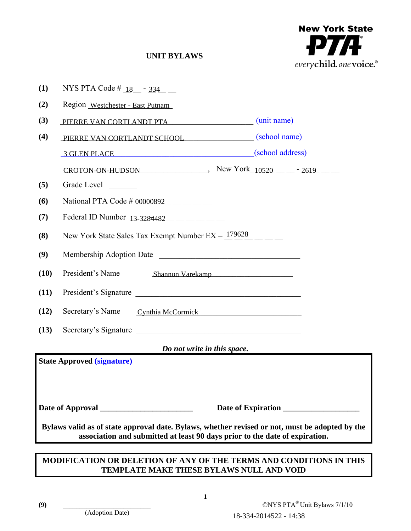

# **UNIT BYLAWS**

| (1)                                                                                                                                                                           | NYS PTA Code # $18 - 334$ -                                                                                                                                                                                                   |                        |                              |
|-------------------------------------------------------------------------------------------------------------------------------------------------------------------------------|-------------------------------------------------------------------------------------------------------------------------------------------------------------------------------------------------------------------------------|------------------------|------------------------------|
| (2)                                                                                                                                                                           | Region Westchester - East Putnam                                                                                                                                                                                              |                        |                              |
| (3)                                                                                                                                                                           | PIERRE VAN CORTLANDT PTA (unit name)                                                                                                                                                                                          |                        |                              |
| (4)                                                                                                                                                                           | PIERRE VAN CORTLANDT SCHOOL (school name)                                                                                                                                                                                     |                        |                              |
|                                                                                                                                                                               | 3 GLEN PLACE And The Contract of the Contract of the Contract of the Contract of the Contract of the Contract of the Contract of the Contract of the Contract of the Contract of the Contract of the Contract of the Contract | (school address)       |                              |
|                                                                                                                                                                               | CROTON-ON-HUDSON $\qquad \qquad$ New York $10520 - 2619 -$                                                                                                                                                                    |                        |                              |
| (5)                                                                                                                                                                           | Grade Level                                                                                                                                                                                                                   |                        |                              |
| (6)                                                                                                                                                                           | National PTA Code $\frac{\#00000892}{}$ _____                                                                                                                                                                                 |                        |                              |
| (7)                                                                                                                                                                           | Federal ID Number $13-3284482$ ________                                                                                                                                                                                       |                        |                              |
| (8)                                                                                                                                                                           | New York State Sales Tax Exempt Number EX - 179628                                                                                                                                                                            |                        |                              |
| (9)                                                                                                                                                                           | Membership Adoption Date                                                                                                                                                                                                      |                        |                              |
| (10)                                                                                                                                                                          | President's Name<br>Shannon Varekamp                                                                                                                                                                                          |                        |                              |
| (11)                                                                                                                                                                          | President's Signature                                                                                                                                                                                                         |                        |                              |
| (12)                                                                                                                                                                          | Secretary's Name<br>Cynthia McCormick                                                                                                                                                                                         |                        |                              |
| (13)                                                                                                                                                                          | Secretary's Signature                                                                                                                                                                                                         |                        |                              |
| Do not write in this space.                                                                                                                                                   |                                                                                                                                                                                                                               |                        |                              |
| <b>State Approved (signature)</b>                                                                                                                                             |                                                                                                                                                                                                                               |                        |                              |
| Date of Expiration                                                                                                                                                            |                                                                                                                                                                                                                               |                        |                              |
| Bylaws valid as of state approval date. Bylaws, whether revised or not, must be adopted by the<br>association and submitted at least 90 days prior to the date of expiration. |                                                                                                                                                                                                                               |                        |                              |
| MODIFICATION OR DELETION OF ANY OF THE TERMS AND CONDITIONS IN THIS                                                                                                           |                                                                                                                                                                                                                               |                        |                              |
| <b>TEMPLATE MAKE THESE BYLAWS NULL AND VOID</b>                                                                                                                               |                                                                                                                                                                                                                               |                        |                              |
|                                                                                                                                                                               |                                                                                                                                                                                                                               |                        |                              |
| (9)                                                                                                                                                                           | 1                                                                                                                                                                                                                             |                        | ©NYS PTA® Unit Bylaws 7/1/10 |
|                                                                                                                                                                               | (Adoption Date)                                                                                                                                                                                                               | 18-334-2014522 - 14:38 |                              |

# **MODIFICATION OR DELETION OF ANY OF THE TERMS AND CONDITIONS IN THIS TEMPLATE MAKE THESE BYLAWS NULL AND VOID**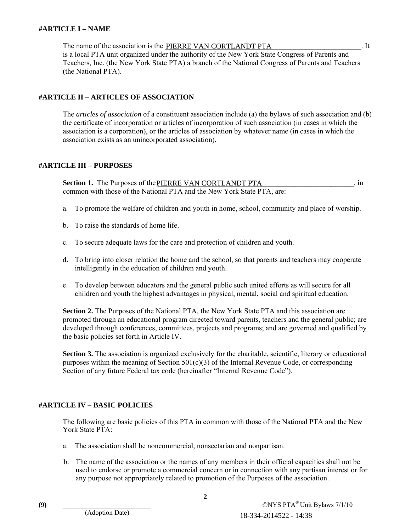#### **#ARTICLE I – NAME**

The name of the association is the **PIERRE VAN CORTLANDT PTA** [10]. It is a local PTA unit organized under the authority of the New York State Congress of Parents and Teachers, Inc. (the New York State PTA) a branch of the National Congress of Parents and Teachers (the National PTA).

### **#ARTICLE II – ARTICLES OF ASSOCIATION**

The *articles of association* of a constituent association include (a) the bylaws of such association and (b) the certificate of incorporation or articles of incorporation of such association (in cases in which the association is a corporation), or the articles of association by whatever name (in cases in which the association exists as an unincorporated association).

### **#ARTICLE III – PURPOSES**

**Section 1.** The Purposes of the PIERRE VAN CORTLANDT PTA 3. The section 1. The Purposes of the PIERRE VAN CORTLANDT PTA common with those of the National PTA and the New York State PTA, are:

- a. To promote the welfare of children and youth in home, school, community and place of worship.
- b. To raise the standards of home life.
- c. To secure adequate laws for the care and protection of children and youth.
- d. To bring into closer relation the home and the school, so that parents and teachers may cooperate intelligently in the education of children and youth.
- e. To develop between educators and the general public such united efforts as will secure for all children and youth the highest advantages in physical, mental, social and spiritual education.

**Section 2.** The Purposes of the National PTA, the New York State PTA and this association are promoted through an educational program directed toward parents, teachers and the general public; are developed through conferences, committees, projects and programs; and are governed and qualified by the basic policies set forth in Article IV.

**Section 3.** The association is organized exclusively for the charitable, scientific, literary or educational purposes within the meaning of Section  $501(c)(3)$  of the Internal Revenue Code, or corresponding Section of any future Federal tax code (hereinafter "Internal Revenue Code").

### **#ARTICLE IV – BASIC POLICIES**

The following are basic policies of this PTA in common with those of the National PTA and the New York State PTA:

- a. The association shall be noncommercial, nonsectarian and nonpartisan.
- b. The name of the association or the names of any members in their official capacities shall not be used to endorse or promote a commercial concern or in connection with any partisan interest or for any purpose not appropriately related to promotion of the Purposes of the association.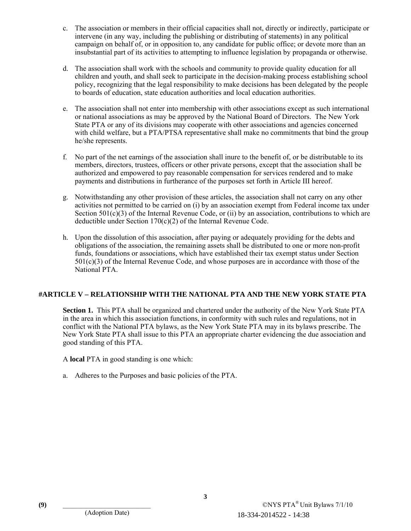- c. The association or members in their official capacities shall not, directly or indirectly, participate or intervene (in any way, including the publishing or distributing of statements) in any political campaign on behalf of, or in opposition to, any candidate for public office; or devote more than an insubstantial part of its activities to attempting to influence legislation by propaganda or otherwise.
- d. The association shall work with the schools and community to provide quality education for all children and youth, and shall seek to participate in the decision-making process establishing school policy, recognizing that the legal responsibility to make decisions has been delegated by the people to boards of education, state education authorities and local education authorities.
- e. The association shall not enter into membership with other associations except as such international or national associations as may be approved by the National Board of Directors. The New York State PTA or any of its divisions may cooperate with other associations and agencies concerned with child welfare, but a PTA/PTSA representative shall make no commitments that bind the group he/she represents.
- f. No part of the net earnings of the association shall inure to the benefit of, or be distributable to its members, directors, trustees, officers or other private persons, except that the association shall be authorized and empowered to pay reasonable compensation for services rendered and to make payments and distributions in furtherance of the purposes set forth in Article III hereof.
- g. Notwithstanding any other provision of these articles, the association shall not carry on any other activities not permitted to be carried on (i) by an association exempt from Federal income tax under Section  $501(c)(3)$  of the Internal Revenue Code, or (ii) by an association, contributions to which are deductible under Section 170(c)(2) of the Internal Revenue Code.
- h. Upon the dissolution of this association, after paying or adequately providing for the debts and obligations of the association, the remaining assets shall be distributed to one or more non-profit funds, foundations or associations, which have established their tax exempt status under Section 501(c)(3) of the Internal Revenue Code, and whose purposes are in accordance with those of the National PTA.

### **#ARTICLE V – RELATIONSHIP WITH THE NATIONAL PTA AND THE NEW YORK STATE PTA**

 **Section 1.** This PTA shall be organized and chartered under the authority of the New York State PTA in the area in which this association functions, in conformity with such rules and regulations, not in conflict with the National PTA bylaws, as the New York State PTA may in its bylaws prescribe. The New York State PTA shall issue to this PTA an appropriate charter evidencing the due association and good standing of this PTA.

A **local** PTA in good standing is one which:

a. Adheres to the Purposes and basic policies of the PTA.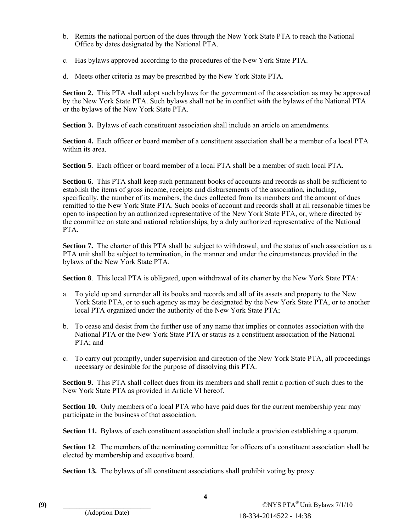- b. Remits the national portion of the dues through the New York State PTA to reach the National Office by dates designated by the National PTA.
- c. Has bylaws approved according to the procedures of the New York State PTA.
- d. Meets other criteria as may be prescribed by the New York State PTA.

 **Section 2.** This PTA shall adopt such bylaws for the government of the association as may be approved by the New York State PTA. Such bylaws shall not be in conflict with the bylaws of the National PTA or the bylaws of the New York State PTA.

**Section 3.** Bylaws of each constituent association shall include an article on amendments.

 **Section 4.** Each officer or board member of a constituent association shall be a member of a local PTA within its area.

 **Section 5**. Each officer or board member of a local PTA shall be a member of such local PTA.

Section 6. This PTA shall keep such permanent books of accounts and records as shall be sufficient to establish the items of gross income, receipts and disbursements of the association, including, specifically, the number of its members, the dues collected from its members and the amount of dues remitted to the New York State PTA. Such books of account and records shall at all reasonable times be open to inspection by an authorized representative of the New York State PTA, or, where directed by the committee on state and national relationships, by a duly authorized representative of the National PTA.

**Section 7.** The charter of this PTA shall be subject to withdrawal, and the status of such association as a PTA unit shall be subject to termination, in the manner and under the circumstances provided in the bylaws of the New York State PTA.

 **Section 8**. This local PTA is obligated, upon withdrawal of its charter by the New York State PTA:

- a. To yield up and surrender all its books and records and all of its assets and property to the New York State PTA, or to such agency as may be designated by the New York State PTA, or to another local PTA organized under the authority of the New York State PTA;
- b. To cease and desist from the further use of any name that implies or connotes association with the National PTA or the New York State PTA or status as a constituent association of the National PTA; and
- c. To carry out promptly, under supervision and direction of the New York State PTA, all proceedings necessary or desirable for the purpose of dissolving this PTA.

**Section 9.** This PTA shall collect dues from its members and shall remit a portion of such dues to the New York State PTA as provided in Article VI hereof.

**Section 10.** Only members of a local PTA who have paid dues for the current membership year may participate in the business of that association.

**Section 11.** Bylaws of each constituent association shall include a provision establishing a quorum.

**Section 12.** The members of the nominating committee for officers of a constituent association shall be elected by membership and executive board.

**Section 13.** The bylaws of all constituent associations shall prohibit voting by proxy.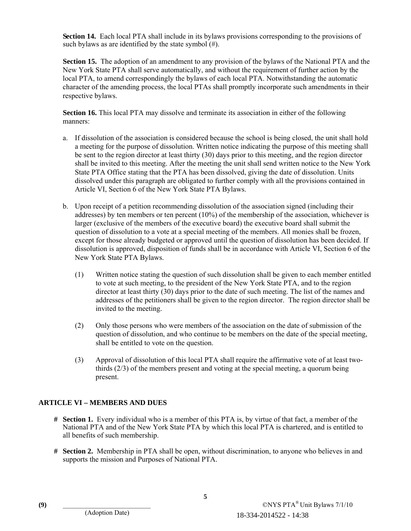**Section 14.** Each local PTA shall include in its bylaws provisions corresponding to the provisions of such bylaws as are identified by the state symbol (#).

 **Section 15.** The adoption of an amendment to any provision of the bylaws of the National PTA and the New York State PTA shall serve automatically, and without the requirement of further action by the local PTA, to amend correspondingly the bylaws of each local PTA. Notwithstanding the automatic character of the amending process, the local PTAs shall promptly incorporate such amendments in their respective bylaws.

 **Section 16.** This local PTA may dissolve and terminate its association in either of the following manners:

- a. If dissolution of the association is considered because the school is being closed, the unit shall hold a meeting for the purpose of dissolution. Written notice indicating the purpose of this meeting shall be sent to the region director at least thirty (30) days prior to this meeting, and the region director shall be invited to this meeting. After the meeting the unit shall send written notice to the New York State PTA Office stating that the PTA has been dissolved, giving the date of dissolution. Units dissolved under this paragraph are obligated to further comply with all the provisions contained in Article VI, Section 6 of the New York State PTA Bylaws.
- b. Upon receipt of a petition recommending dissolution of the association signed (including their addresses) by ten members or ten percent (10%) of the membership of the association, whichever is larger (exclusive of the members of the executive board) the executive board shall submit the question of dissolution to a vote at a special meeting of the members. All monies shall be frozen, except for those already budgeted or approved until the question of dissolution has been decided. If dissolution is approved, disposition of funds shall be in accordance with Article VI, Section 6 of the New York State PTA Bylaws.
	- (1) Written notice stating the question of such dissolution shall be given to each member entitled to vote at such meeting, to the president of the New York State PTA, and to the region director at least thirty (30) days prior to the date of such meeting. The list of the names and addresses of the petitioners shall be given to the region director. The region director shall be invited to the meeting.
	- (2) Only those persons who were members of the association on the date of submission of the question of dissolution, and who continue to be members on the date of the special meeting, shall be entitled to vote on the question.
	- (3) Approval of dissolution of this local PTA shall require the affirmative vote of at least twothirds (2/3) of the members present and voting at the special meeting, a quorum being present.

### **ARTICLE VI – MEMBERS AND DUES**

- **# Section 1.** Every individual who is a member of this PTA is, by virtue of that fact, a member of the National PTA and of the New York State PTA by which this local PTA is chartered, and is entitled to all benefits of such membership.
- **# Section 2.** Membership in PTA shall be open, without discrimination, to anyone who believes in and supports the mission and Purposes of National PTA.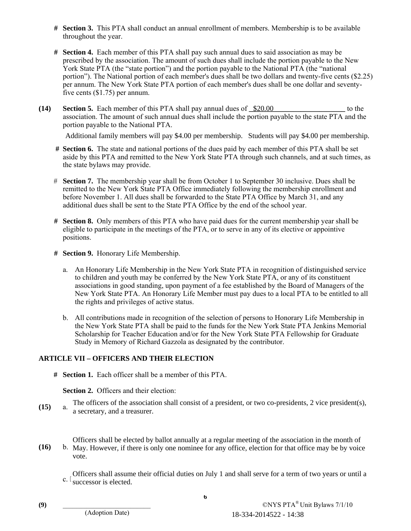- **# Section 3.** This PTA shall conduct an annual enrollment of members. Membership is to be available throughout the year.
- **# Section 4.** Each member of this PTA shall pay such annual dues to said association as may be prescribed by the association. The amount of such dues shall include the portion payable to the New York State PTA (the "state portion") and the portion payable to the National PTA (the "national portion"). The National portion of each member's dues shall be two dollars and twenty-five cents (\$2.25) per annum. The New York State PTA portion of each member's dues shall be one dollar and seventyfive cents (\$1.75) per annum.
- **(14)** Section 5. Each member of this PTA shall pay annual dues of  $\frac{\$20.00}{\$20.00}$  to the association. The amount of such annual dues shall include the portion payable to the state PTA and the portion payable to the National PTA.

Additional family members will pay \$4.00 per membership. Students will pay \$4.00 per membership.

- **# Section 6.** The state and national portions of the dues paid by each member of this PTA shall be set aside by this PTA and remitted to the New York State PTA through such channels, and at such times, as the state bylaws may provide.
- # **Section 7.** The membership year shall be from October 1 to September 30 inclusive. Dues shall be remitted to the New York State PTA Office immediately following the membership enrollment and before November 1. All dues shall be forwarded to the State PTA Office by March 31, and any additional dues shall be sent to the State PTA Office by the end of the school year.
- **# Section 8.** Only members of this PTA who have paid dues for the current membership year shall be eligible to participate in the meetings of the PTA, or to serve in any of its elective or appointive positions.
- **# Section 9.** Honorary Life Membership.
	- a. An Honorary Life Membership in the New York State PTA in recognition of distinguished service to children and youth may be conferred by the New York State PTA, or any of its constituent associations in good standing, upon payment of a fee established by the Board of Managers of the New York State PTA. An Honorary Life Member must pay dues to a local PTA to be entitled to all the rights and privileges of active status.
	- b. All contributions made in recognition of the selection of persons to Honorary Life Membership in the New York State PTA shall be paid to the funds for the New York State PTA Jenkins Memorial Scholarship for Teacher Education and/or for the New York State PTA Fellowship for Graduate Study in Memory of Richard Gazzola as designated by the contributor.

### **ARTICLE VII – OFFICERS AND THEIR ELECTION**

**# Section 1.** Each officer shall be a member of this PTA.

**Section 2.** Officers and their election:

 $(15)$ The officers of the association shall consist of a president, or two co-presidents, 2 vice president(s), a secretary, and a treasurer.

 $(16)$ Officers shall be elected by ballot annually at a regular meeting of the association in the month of b. May. However, if there is only one nominee for any office, election for that office may be by voice vote.

 $c.$ ' Officers shall assume their official duties on July 1 and shall serve for a term of two years or until a successor is elected.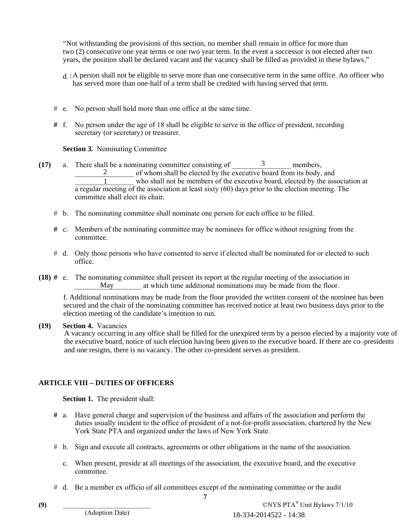"Not withstanding the provisions of this section, no member shall remain in office for more than two (2) consecutive one year terms or one two year term. In the event a successor is not elected after two years, the position shall be declared vacant and the vacancy shall be filled as provided in these bylaws."

- d. A person shall not be eligible to serve more than one consecutive term in the same office. An officer who has served more than one-half of a term shall be credited with having served that term.
- # e. No person shall hold more than one office at the same time.
- **#** f. No person under the age of 18 shall be eligible to serve in the office of president, recording secretary (or secretary) or treasurer.

### **Section 3.** Nominating Committee

- (17) a. There shall be a nominating committee consisting of  $\frac{3}{2}$  members,  $\frac{2}{1}$  of whom shall be elected by the executive board from its body, and who shall not be members of the executive board, elected by the ass who shall not be members of the executive board, elected by the association at a regular meeting of the association at least sixty (60) days prior to the election meeting. The committee shall elect its chair. 2<br>
To who shall be clected by the executive board from its<br>
To who shall be clected by the executive board, elected<br>
meeting of the association at least sixty (60) days prior to the clectic<br>
shall elect its chair.<br>
The as
	- # b. The nominating committee shall nominate one person for each office to be filled.
	- **#** c. Members of the nominating committee may be nominees for office without resigning from the committee.
	- # d. Only those persons who have consented to serve if elected shall be nominated for or elected to such office.
- **(18) #** e. The nominating committee shall present its report at the regular meeting of the association in at which time additional nominations may be made from the floor. May

secured and the chair of the nominating committee has received notice at least two business days prior to the election meeting of the candidate's intention to run. **Example 1** who shall not be members<br>
a regular meeting of the association at least sixt<br>
committee shall elect its chair.<br>
b. The nominating committee shall nominate one  $\mu$ <br>
c. Members of the nominating committee may b

### **(19) Section 4.** Vacancies

A vacancy occurring in any office shall be filled for the unexpired term by a person elected by a majority vote of the executive board, notice of such election having been given to the executive board. If there are co–presidents f. Additional nominations may be made from the floor provided the written consent of the nominee has been secured and the chair of the nominating committee has received notice at least two business days prior to the electi

### **ARTICLE VIII – DUTIES OF OFFICERS**

**Section 1.** The president shall:

- **#** a. Have general charge and supervision of the business and affairs of the association and perform the duties usually incident to the office of president of a not-for-profit association, chartered by the New York State PTA and organized under the laws of New York State.
- # b. Sign and execute all contracts, agreements or other obligations in the name of the association.
	- c. When present, preside at all meetings of the association, the executive board, and the executive committee.
- # d. Be a member ex officio of all committees except of the nominating committee or the audit

**7**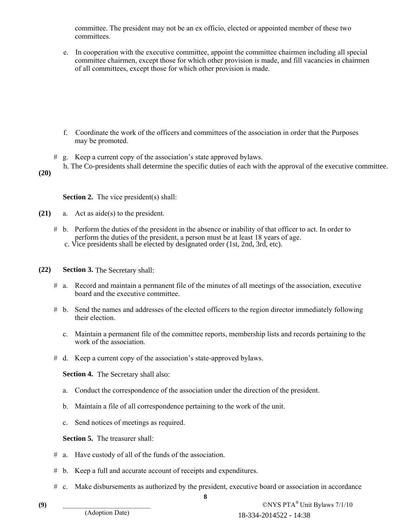committee. The president may not be an ex officio, elected or appointed member of these two committees.

e. In cooperation with the executive committee, appoint the committee chairmen including all special committee chairmen, except those for which other provision is made, and fill vacancies in chairmen of all committees, except those for which other provision is made.

- f. Coordinate the work of the officers and committees of the association in order that the Purposes may be promoted.
- # g. Keep a current copy of the association's state approved bylaws.
- 
- **(20)**

**Section 2.** The vice president(s) shall:

- **(21)** a. Act as aide(s) to the president.
- # b. Perform the duties of the president in the absence or inability of that officer to act. In order to perform the duties of the president, a person must be at least 18 years of age. Fraction 2. The vice president(s) shall:<br>
Section 2. The vice president(s) shall:<br>
a. Act as aide(s) to the president.<br>
b. Perform the duties of the president in the absence or inability of that officer to act. In order to
- **(22) Section 3.** The Secretary shall:
	- # a. Record and maintain a permanent file of the minutes of all meetings of the association, executive board and the executive committee.
	- # b. Send the names and addresses of the elected officers to the region director immediately following their election.
		- c. Maintain a permanent file of the committee reports, membership lists and records pertaining to the work of the association.
	- # d. Keep a current copy of the association's state-approved bylaws.

**Section 4.** The Secretary shall also:

- a. Conduct the correspondence of the association under the direction of the president.
- b. Maintain a file of all correspondence pertaining to the work of the unit.
- c. Send notices of meetings as required.

**Section 5.** The treasurer shall:

- # a. Have custody of all of the funds of the association.
- # b. Keep a full and accurate account of receipts and expenditures.
- # c. Make disbursements as authorized by the president, executive board or association in accordance

(9)  $\text{CNYS } \text{PTA}^{\circledast}$  Unit Bylaws 7/1/10 18-334-2014522 - 14:38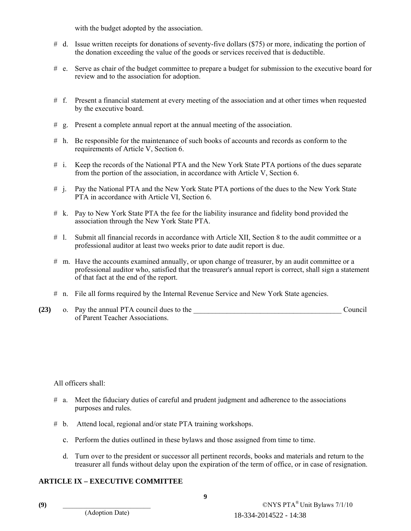with the budget adopted by the association.

- # d. Issue written receipts for donations of seventy-five dollars (\$75) or more, indicating the portion of the donation exceeding the value of the goods or services received that is deductible.
- # e. Serve as chair of the budget committee to prepare a budget for submission to the executive board for review and to the association for adoption.
- # f. Present a financial statement at every meeting of the association and at other times when requested by the executive board.
- # g. Present a complete annual report at the annual meeting of the association.
- # h. Be responsible for the maintenance of such books of accounts and records as conform to the requirements of Article V, Section 6.
- # i. Keep the records of the National PTA and the New York State PTA portions of the dues separate from the portion of the association, in accordance with Article V, Section 6.
- # j. Pay the National PTA and the New York State PTA portions of the dues to the New York State PTA in accordance with Article VI, Section 6.
- # k. Pay to New York State PTA the fee for the liability insurance and fidelity bond provided the association through the New York State PTA.
- # l. Submit all financial records in accordance with Article XII, Section 8 to the audit committee or a professional auditor at least two weeks prior to date audit report is due.
- # m. Have the accounts examined annually, or upon change of treasurer, by an audit committee or a professional auditor who, satisfied that the treasurer's annual report is correct, shall sign a statement of that fact at the end of the report.
- # n. File all forms required by the Internal Revenue Service and New York State agencies.
- **(23)** o. Pay the annual PTA council dues to the \_\_\_\_\_\_\_\_\_\_\_\_\_\_\_\_\_\_\_\_\_\_\_\_\_\_\_\_\_\_\_\_\_\_\_\_\_\_\_\_ Council of Parent Teacher Associations.

All officers shall:

- # a. Meet the fiduciary duties of careful and prudent judgment and adherence to the associations purposes and rules.
- # b. Attend local, regional and/or state PTA training workshops.
	- c. Perform the duties outlined in these bylaws and those assigned from time to time.
	- d. Turn over to the president or successor all pertinent records, books and materials and return to the treasurer all funds without delay upon the expiration of the term of office, or in case of resignation.

### **ARTICLE IX – EXECUTIVE COMMITTEE**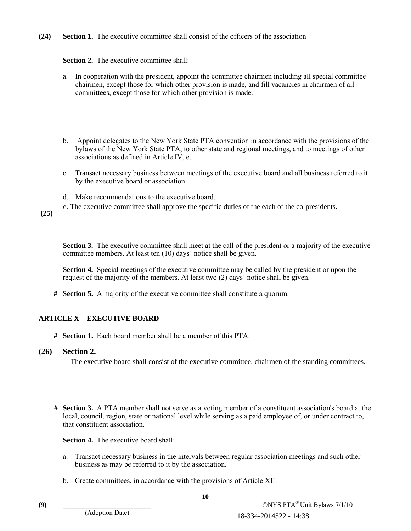**(24) Section 1.** The executive committee shall consist of the officers of the association

### **Section 2.** The executive committee shall:

- a. In cooperation with the president, appoint the committee chairmen including all special committee chairmen, except those for which other provision is made, and fill vacancies in chairmen of all committees, except those for which other provision is made.
- b. Appoint delegates to the New York State PTA convention in accordance with the provisions of the bylaws of the New York State PTA, to other state and regional meetings, and to meetings of other associations as defined in Article IV, e.
- c. Transact necessary business between meetings of the executive board and all business referred to it by the executive board or association.
- d. Make recommendations to the executive board.
- e. The executive committee shall approve the specific duties of the each of the co-presidents.

 **(25)** 

**Section 3.** The executive committee shall meet at the call of the president or a majority of the executive committee members. At least ten (10) days' notice shall be given.

 **Section 4.** Special meetings of the executive committee may be called by the president or upon the request of the majority of the members. At least two (2) days' notice shall be given.

**# Section 5.** A majority of the executive committee shall constitute a quorum.

### **ARTICLE X – EXECUTIVE BOARD**

**# Section 1.** Each board member shall be a member of this PTA.

### **(26) Section 2.**

The executive board shall consist of the executive committee, chairmen of the standing committees.

**# Section 3.** A PTA member shall not serve as a voting member of a constituent association's board at the local, council, region, state or national level while serving as a paid employee of, or under contract to, that constituent association.

**Section 4.** The executive board shall:

- a. Transact necessary business in the intervals between regular association meetings and such other business as may be referred to it by the association.
- b. Create committees, in accordance with the provisions of Article XII.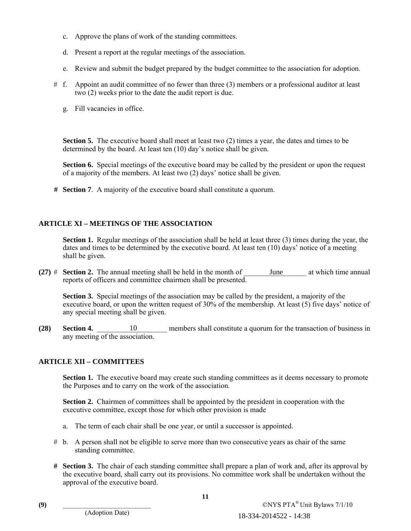- c. Approve the plans of work of the standing committees.
- d. Present a report at the regular meetings of the association.
- e. Review and submit the budget prepared by the budget committee to the association for adoption.
- # f. Appoint an audit committee of no fewer than three (3) members or a professional auditor at least two (2) weeks prior to the date the audit report is due.
	- g. Fill vacancies in office.

**Section 5.** The executive board shall meet at least two (2) times a year, the dates and times to be determined by the board. At least ten (10) day's notice shall be given.

**Section 6.** Special meetings of the executive board may be called by the president or upon the request of a majority of the members. At least two (2) days' notice shall be given.

**# Section 7**. A majority of the executive board shall constitute a quorum.

### **ARTICLE XI – MEETINGS OF THE ASSOCIATION**

**Section 1.** Regular meetings of the association shall be held at least three (3) times during the year, the dates and times to be determined by the executive board. At least ten (10) days' notice of a meeting shall be given.

**(27)**  $\#$  **Section 2.** The annual meeting shall be held in the month of reports of officers and committee chairmen shall be presented. June at which time annual

**Section 3.** Special meetings of the association may be called by the president, a majority of the executive board, or upon the written request of 30% of the membership. At least (5) five days' notice of any special meeting shall be given.

**(28)** Section 4. **a** 10 members shall constitute a quorum for the transaction of business in any meeting of the association.

# **ARTICLE XII – COMMITTEES**

**Section 1.** The executive board may create such standing committees as it deems necessary to promote the Purposes and to carry on the work of the association.

**Section 2.** Chairmen of committees shall be appointed by the president in cooperation with the executive committee, except those for which other provision is made

- a. The term of each chair shall be one year, or until a successor is appointed.
- # b. A person shall not be eligible to serve more than two consecutive years as chair of the same standing committee.
- **# Section 3.** The chair of each standing committee shall prepare a plan of work and, after its approval by the executive board, shall carry out its provisions. No committee work shall be undertaken without the approval of the executive board. 18-334-2014522 - 14:38 10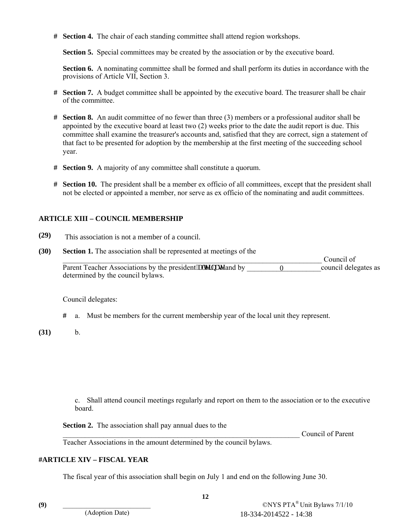**# Section 4.** The chair of each standing committee shall attend region workshops.

**Section 5.** Special committees may be created by the association or by the executive board.

**Section 6.** A nominating committee shall be formed and shall perform its duties in accordance with the provisions of Article VII, Section 3.

- **# Section 7.** A budget committee shall be appointed by the executive board. The treasurer shall be chair of the committee.
- **# Section 8.** An audit committee of no fewer than three (3) members or a professional auditor shall be appointed by the executive board at least two (2) weeks prior to the date the audit report is due. This committee shall examine the treasurer's accounts and, satisfied that they are correct, sign a statement of that fact to be presented for adoption by the membership at the first meeting of the succeeding school year.
- **# Section 9.** A majority of any committee shall constitute a quorum.
- **# Section 10.** The president shall be a member ex officio of all committees, except that the president shall not be elected or appointed a member, nor serve as ex officio of the nominating and audit committees.

### **ARTICLE XIII – COUNCIL MEMBERSHIP**

- **(29)**
- **(30) Section 1.** The association shall be represented at meetings of the \_\_\_\_\_\_\_\_\_\_\_\_\_\_\_\_\_\_\_\_\_\_\_\_\_\_\_\_\_\_\_\_\_\_\_\_\_\_\_\_\_\_\_\_\_\_\_\_\_\_\_\_\_\_\_\_\_\_\_\_\_\_\_\_\_\_\_\_\_\_ Council of Parent Teacher Associations by the president king the grand by  $\qquad \qquad 0 \qquad \qquad$  council delegates as determined by the council bylaws. This association is not a member of a council.<br> **Ecction 1.** The association shall be represented at meetings of the<br> **Parent Teacher Associations by the president kngtpcvg and by <u>or a content</u> of the local wind by the co**

Council delegates:

- **#** a. Must be members for the current membership year of the local unit they represent.
- **(31)** b.

 c. Shall attend council meetings regularly and report on them to the association or to the executive board.

**Section 2.** The association shall pay annual dues to the

Council of Parent

Teacher Associations in the amount determined by the council bylaws.

### **#ARTICLE XIV – FISCAL YEAR**

The fiscal year of this association shall begin on July 1 and end on the following June 30.